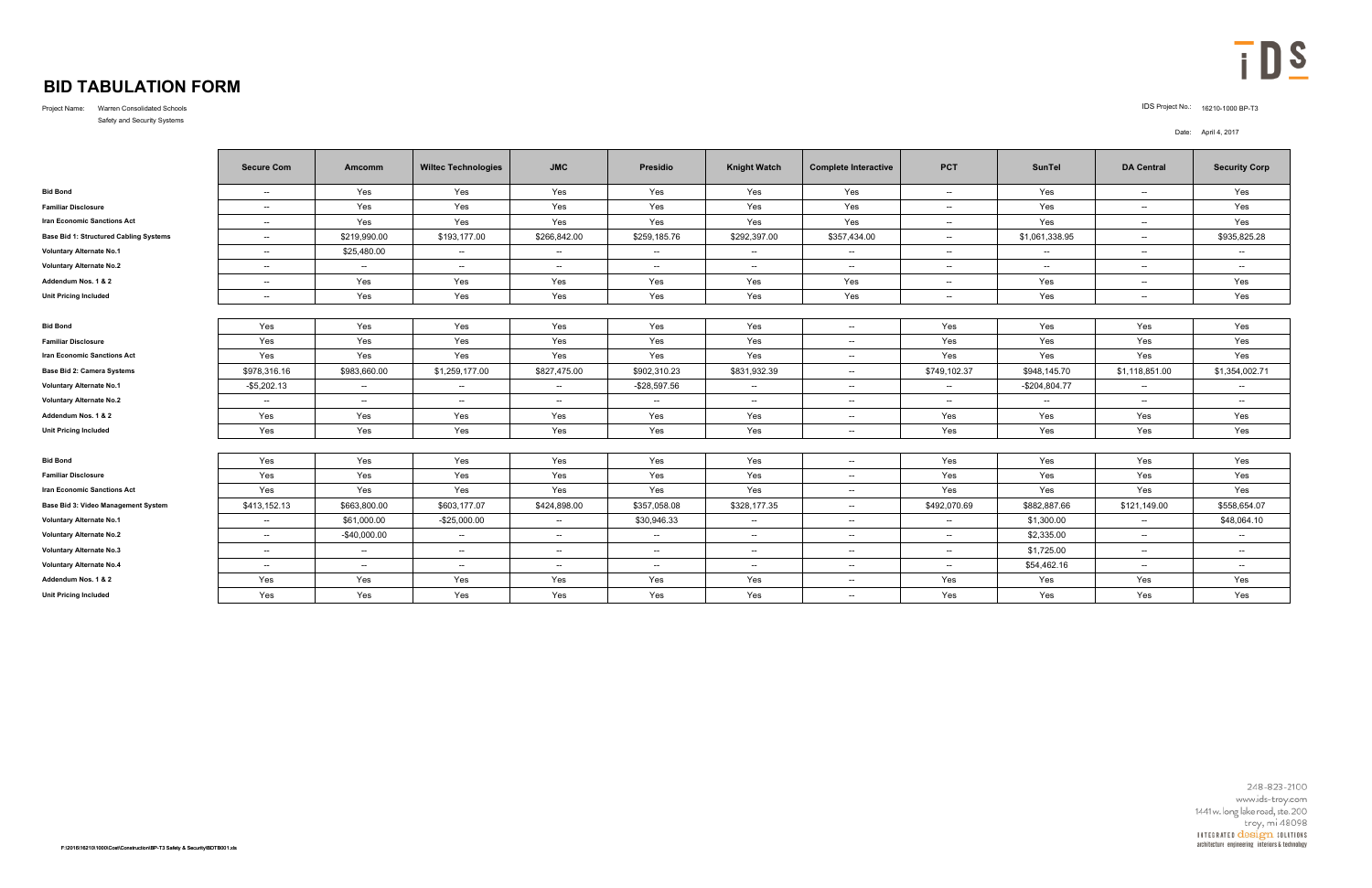## **BID TABULATION FORM**

Project Name: Warren Consolidated Schools IDS Project No.: 16210-1000 BP-T3 Safety and Security Systems

## Date: April 4, 2017



|                                        | <b>Secure Com</b>        | Amcomm        | <b>Wiltec Technologies</b> | <b>JMC</b>               | Presidio     | <b>Knight Watch</b> | <b>Complete Interactive</b> | <b>PCT</b>   | <b>SunTel</b>  | <b>DA Central</b>        | <b>Security Corp</b> |
|----------------------------------------|--------------------------|---------------|----------------------------|--------------------------|--------------|---------------------|-----------------------------|--------------|----------------|--------------------------|----------------------|
| <b>Bid Bond</b>                        | $\overline{\phantom{a}}$ | Yes           | Yes                        | Yes                      | Yes          | Yes                 | Yes                         | $\sim$       | Yes            | $\sim$                   | Yes                  |
| <b>Familiar Disclosure</b>             | $\sim$                   | Yes           | Yes                        | Yes                      | Yes          | Yes                 | Yes                         | $\sim$       | Yes            | $\sim$                   | Yes                  |
| <b>Iran Economic Sanctions Act</b>     | $\sim$                   | Yes           | Yes                        | Yes                      | Yes          | Yes                 | Yes                         | $\sim$       | Yes            | $\sim$                   | Yes                  |
| Base Bid 1: Structured Cabling Systems | $\sim$                   | \$219,990.00  | \$193,177.00               | \$266,842.00             | \$259,185.76 | \$292,397.00        | \$357,434.00                | $\sim$       | \$1,061,338.95 | $\overline{\phantom{a}}$ | \$935,825.28         |
| <b>Voluntary Alternate No.1</b>        | $\sim$                   | \$25,480.00   | $\sim$                     | $\overline{\phantom{a}}$ | $\sim$       | $\sim$              | $\sim$                      | $\sim$       | $\sim$         | $\sim$                   | $\sim$               |
| <b>Voluntary Alternate No.2</b>        | $\sim$                   | $\sim$        | $\sim$                     | $\sim$                   | $\sim$       | $\sim$              | $\sim$                      | $\sim$       | $\sim$         | $\sim$                   | $\sim$               |
| Addendum Nos. 1 & 2                    | $\mathbf{u}$             | Yes           | Yes                        | Yes                      | Yes          | Yes                 | Yes                         | $\sim$ $-$   | Yes            | $\sim$                   | Yes                  |
| <b>Unit Pricing Included</b>           | $\sim$                   | Yes           | Yes                        | Yes                      | Yes          | Yes                 | Yes                         | $\sim$       | Yes            | $\sim$ $\sim$            | Yes                  |
|                                        |                          |               |                            |                          |              |                     |                             |              |                |                          |                      |
| <b>Bid Bond</b>                        | Yes                      | Yes           | Yes                        | Yes                      | Yes          | Yes                 | $\sim$                      | Yes          | Yes            | Yes                      | Yes                  |
| <b>Familiar Disclosure</b>             | Yes                      | Yes           | Yes                        | Yes                      | Yes          | Yes                 | $\sim$                      | Yes          | Yes            | Yes                      | Yes                  |
| <b>Iran Economic Sanctions Act</b>     | Yes                      | Yes           | Yes                        | Yes                      | Yes          | Yes                 | $\sim$                      | Yes          | Yes            | Yes                      | Yes                  |
| <b>Base Bid 2: Camera Systems</b>      | \$978,316.16             | \$983,660.00  | \$1,259,177.00             | \$827,475.00             | \$902,310.23 | \$831,932.39        | $\sim$                      | \$749,102.37 | \$948,145.70   | \$1,118,851.00           | \$1,354,002.71       |
| <b>Voluntary Alternate No.1</b>        | $-$5,202.13$             | $\sim$        | $\sim$                     | $\overline{\phantom{a}}$ | -\$28,597.56 | $\sim$              | $\mathbf{u}$                | $\sim$       | $-$204,804.77$ | $\overline{\phantom{a}}$ | $\sim$               |
| <b>Voluntary Alternate No.2</b>        | $\sim$                   | $\sim$        | $\sim$                     | $\sim$ $\sim$            | $\sim$       | $\sim$              | $- -$ .                     | $\sim$       | $\sim$         | $\sim$                   | $\sim$               |
| Addendum Nos. 1 & 2                    | Yes                      | Yes           | Yes                        | Yes                      | Yes          | Yes                 | $\sim$                      | Yes          | Yes            | Yes                      | Yes                  |
| <b>Unit Pricing Included</b>           | Yes                      | Yes           | Yes                        | Yes                      | Yes          | Yes                 | $\sim$ $\sim$               | Yes          | Yes            | Yes                      | Yes                  |
|                                        |                          |               |                            |                          |              |                     |                             |              |                |                          |                      |
| <b>Bid Bond</b>                        | Yes                      | Yes           | Yes                        | Yes                      | Yes          | Yes                 | $\sim$                      | Yes          | Yes            | Yes                      | Yes                  |
| <b>Familiar Disclosure</b>             | Yes                      | Yes           | Yes                        | Yes                      | Yes          | Yes                 | $\sim$ $\sim$               | Yes          | Yes            | Yes                      | Yes                  |
| <b>Iran Economic Sanctions Act</b>     | Yes                      | Yes           | Yes                        | Yes                      | Yes          | Yes                 | $\sim$                      | Yes          | Yes            | Yes                      | Yes                  |
| Base Bid 3: Video Management System    | \$413,152.13             | \$663,800.00  | \$603,177.07               | \$424,898.00             | \$357,058.08 | \$328,177.35        | $\sim$                      | \$492,070.69 | \$882,887.66   | \$121,149.00             | \$558,654.07         |
| <b>Voluntary Alternate No.1</b>        | $\mathbf{u}$             | \$61,000.00   | $-$25,000.00$              | $\overline{\phantom{a}}$ | \$30,946.33  | $\sim$              | $\overline{\phantom{a}}$    | $\sim$       | \$1,300.00     | $\sim$                   | \$48,064.10          |
| <b>Voluntary Alternate No.2</b>        | $\mathbf{u}$             | $-$40,000.00$ | $\sim$                     | $\sim$ $\sim$            | $\sim$       | $\sim$              | $\overline{\phantom{a}}$    | $\sim$       | \$2,335.00     | $\sim$                   | $\sim$               |
| <b>Voluntary Alternate No.3</b>        | $\overline{\phantom{a}}$ | $\sim$        | $\sim$                     | $\overline{\phantom{a}}$ | $\sim$       | $\sim$              | $\sim$ $\sim$               | $\sim$       | \$1,725.00     | $\overline{\phantom{a}}$ | $\sim$               |
| <b>Voluntary Alternate No.4</b>        | $\sim$                   | $\sim$        | $\sim$                     | $\sim$ $\sim$            | $\sim$       | $\sim$              | $- -$ .                     | $\sim$       | \$54,462.16    | $\sim$                   | $\sim$               |
| Addendum Nos. 1 & 2                    | Yes                      | Yes           | Yes                        | Yes                      | Yes          | Yes                 | $\sim$ $\sim$               | Yes          | Yes            | Yes                      | Yes                  |
| <b>Unit Pricing Included</b>           | Yes                      | Yes           | Yes                        | Yes                      | Yes          | Yes                 | $\mathbf{u}$                | Yes          | Yes            | Yes                      | Yes                  |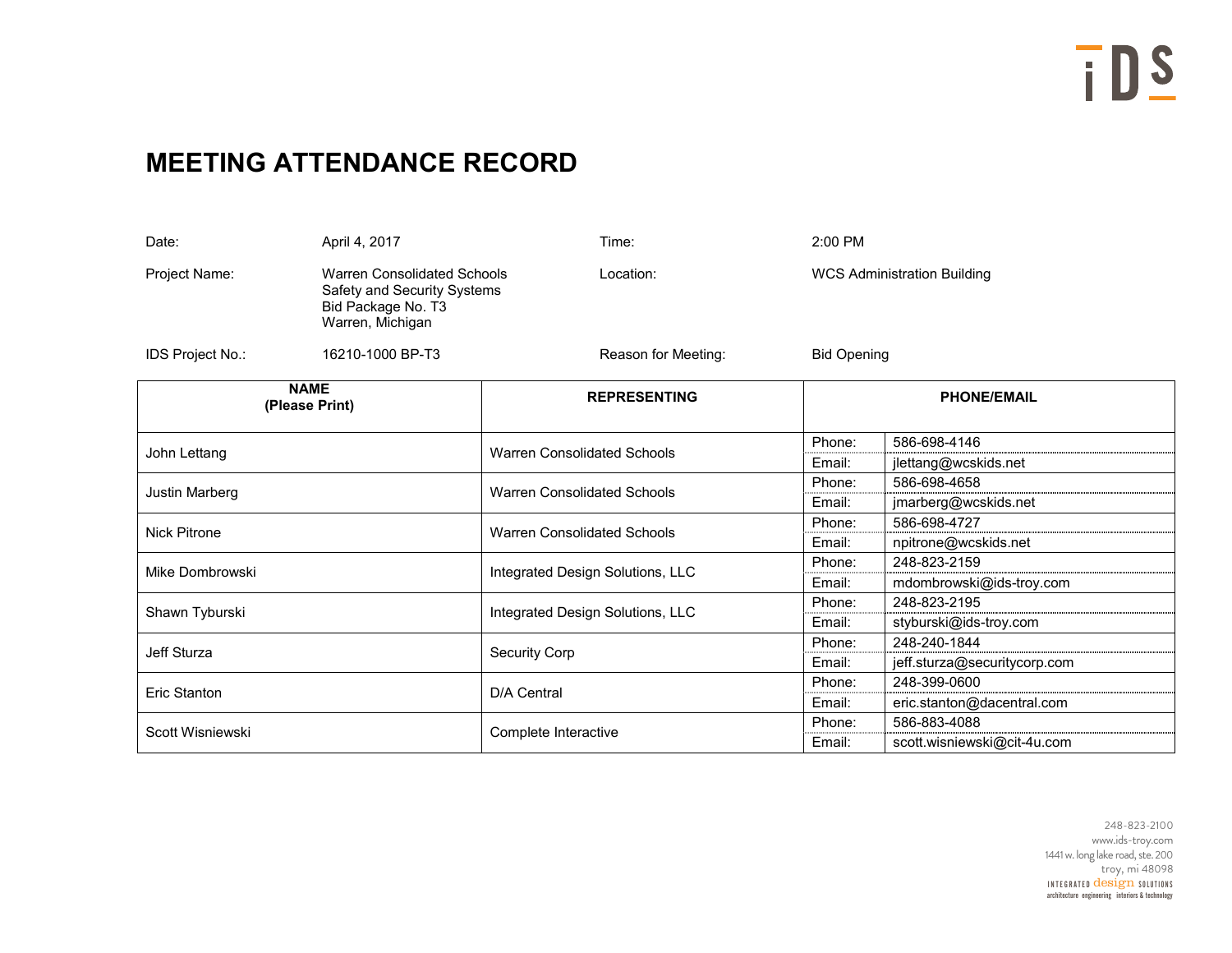## **MEETING ATTENDANCE RECORD**

| Date:<br>April 4, 2017                                                                                                       |                  | Time:                              | 2:00 PM                            |                              |  |  |
|------------------------------------------------------------------------------------------------------------------------------|------------------|------------------------------------|------------------------------------|------------------------------|--|--|
| <b>Warren Consolidated Schools</b><br>Project Name:<br>Safety and Security Systems<br>Bid Package No. T3<br>Warren, Michigan |                  | Location:                          | <b>WCS Administration Building</b> |                              |  |  |
| IDS Project No.:                                                                                                             | 16210-1000 BP-T3 | Reason for Meeting:                | <b>Bid Opening</b>                 |                              |  |  |
| <b>NAME</b><br>(Please Print)                                                                                                |                  | <b>REPRESENTING</b>                |                                    | <b>PHONE/EMAIL</b>           |  |  |
| John Lettang                                                                                                                 |                  |                                    | Phone:                             | 586-698-4146                 |  |  |
|                                                                                                                              |                  | <b>Warren Consolidated Schools</b> | Email:                             | jlettang@wcskids.net         |  |  |
| Justin Marberg                                                                                                               |                  | <b>Warren Consolidated Schools</b> | Phone:                             | 586-698-4658                 |  |  |
|                                                                                                                              |                  |                                    | Email:                             | jmarberg@wcskids.net         |  |  |
| <b>Nick Pitrone</b>                                                                                                          |                  | <b>Warren Consolidated Schools</b> | Phone:                             | 586-698-4727                 |  |  |
|                                                                                                                              |                  |                                    | Email:                             | npitrone@wcskids.net         |  |  |
|                                                                                                                              |                  |                                    | Phone:                             | 248-823-2159                 |  |  |
| Mike Dombrowski                                                                                                              |                  | Integrated Design Solutions, LLC   | Email:                             | mdombrowski@ids-troy.com     |  |  |
| Shawn Tyburski                                                                                                               |                  | Integrated Design Solutions, LLC   | Phone:                             | 248-823-2195                 |  |  |
|                                                                                                                              |                  |                                    | Email:                             | styburski@ids-troy.com       |  |  |
| Jeff Sturza                                                                                                                  |                  | <b>Security Corp</b>               | Phone:                             | 248-240-1844                 |  |  |
|                                                                                                                              |                  |                                    | Email:                             | jeff.sturza@securitycorp.com |  |  |
|                                                                                                                              |                  |                                    | Phone:                             | 248-399-0600                 |  |  |
| <b>Eric Stanton</b>                                                                                                          |                  | D/A Central                        | Email:                             | eric.stanton@dacentral.com   |  |  |
| Scott Wisniewski                                                                                                             |                  | Complete Interactive               | Phone:                             | 586-883-4088                 |  |  |
|                                                                                                                              |                  |                                    | Email:                             | scott.wisniewski@cit-4u.com  |  |  |

INTEGRATED **design** Solutions architecture engineering interiors & technology248-823-2100 www.ids-troy.com <sup>1441</sup> w. long lake road, ste. <sup>200</sup> troy, mi <sup>48098</sup>